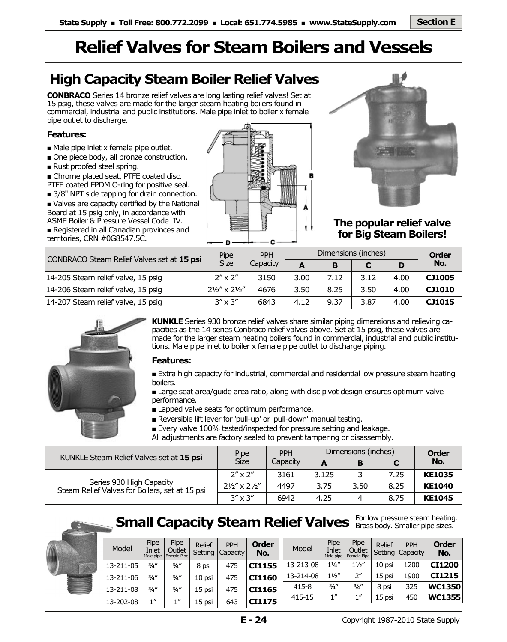# **Relief Valves for Steam Boilers and Vessels**

## **High Capacity Steam Boiler Relief Valves**

**CONBRACO** Series 14 bronze relief valves are long lasting relief valves! Set at 15 psig, these valves are made for the larger steam heating boilers found in commercial, industrial and public institutions. Male pipe inlet to boiler x female pipe outlet to discharge.

#### **Features:**

- Male pipe inlet x female pipe outlet.
- One piece body, all bronze construction.
- Rust proofed steel spring.
- Chrome plated seat, PTFE coated disc.
- PTFE coated EPDM O-ring for positive seal.
- 3/8" NPT side tapping for drain connection.
- Valves are capacity certified by the National Board at 15 psig only, in accordance with ASME Boiler & Pressure Vessel Code IV.
- Registered in all Canadian provinces and territories, CRN #0G8547.5C.





### **The popular relief valve for Big Steam Boilers!**

| CONBRACO Steam Relief Valves set at 15 psi | Pipe                                | <b>PPH</b>      | Dimensions (inches) | <b>Order</b> |      |      |        |
|--------------------------------------------|-------------------------------------|-----------------|---------------------|--------------|------|------|--------|
|                                            | <b>Size</b>                         | <b>Capacity</b> | A                   | B            |      | D    | No.    |
| 14-205 Steam relief valve, 15 psig         | $2'' \times 2''$                    | 3150            | 3.00                | 7.12         | 3.12 | 4.00 | CJ1005 |
| 14-206 Steam relief valve, 15 psig         | $2\frac{1}{2}$ " x $2\frac{1}{2}$ " | 4676            | 3.50                | 8.25         | 3.50 | 4.00 | CJ1010 |
| 14-207 Steam relief valve, 15 psig         | $3'' \times 3''$                    | 6843            | 4.12                | 9.37         | 3.87 | 4.00 | CJ1015 |



**KUNKLE** Series 930 bronze relief valves share similar piping dimensions and relieving capacities as the 14 series Conbraco relief valves above. Set at 15 psig, these valves are made for the larger steam heating boilers found in commercial, industrial and public institutions. Male pipe inlet to boiler x female pipe outlet to discharge piping.

#### **Features:**

■ Extra high capacity for industrial, commercial and residential low pressure steam heating boilers.

■ Large seat area/guide area ratio, along with disc pivot design ensures optimum valve performance.

- Lapped valve seats for optimum performance.
- Reversible lift lever for 'pull-up' or 'pull-down' manual testing.

■ Every valve 100% tested/inspected for pressure setting and leakage.

All adjustments are factory sealed to prevent tampering or disassembly.

| KUNKLE Steam Relief Valves set at 15 psi                                   | Pipe                                | <b>PPH</b> | Dimensions (inches) | <b>Order</b> |      |               |
|----------------------------------------------------------------------------|-------------------------------------|------------|---------------------|--------------|------|---------------|
|                                                                            | <b>Size</b>                         | Capacity   | A                   | В            |      | No.           |
|                                                                            | $2''$ x $2''$                       | 3161       | 3.125               |              | 7.25 | <b>KE1035</b> |
| Series 930 High Capacity<br>Steam Relief Valves for Boilers, set at 15 psi | $2\frac{1}{2}$ " x $2\frac{1}{2}$ " | 4497       | 3.75                | 3.50         | 8.25 | <b>KE1040</b> |
|                                                                            | $3'' \times 3''$                    | 6942       | 4.25                | 4            | 8.75 | <b>KE1045</b> |

### **Small Capacity Steam Relief Valves** For low pressure steam heating.

1" 1" 15 psi 643 **CI1175** 

10 psi 15 psi 15 psi

13-211-08  $\frac{3}{4}$ "  $\frac{3}{4}$ " 15 psi 475 **CI1165** 

 $3/4''$ 1"



Model

13-211-05 13-211-06

13-202-08

| Pipe<br>Inlet<br>Male pipe | Pipe<br>Outlet<br>Female Pipe | Relief<br>Setting | PPH<br><b>Capacity</b> | Order<br>No. | Model     | Pipe<br>Inlet<br>Male pipe | Pipe<br>Outlet<br>Female Pipe | Relief<br>Setting | PPH<br><b>Capacity</b> | <b>Order</b><br>No. |
|----------------------------|-------------------------------|-------------------|------------------------|--------------|-----------|----------------------------|-------------------------------|-------------------|------------------------|---------------------|
| 3/4''                      | 3/4''                         | 8 psi             | 475                    | CI1155       | 13-213-08 | $1\frac{1}{4}$             | $1\frac{1}{2}$                | 10 psi            | 1200                   | <b>CI1200</b>       |
| 3/4''                      | 3/4''                         | 10 psi            | 475                    | CI1160       | 13-214-08 | $1\frac{1}{2}$             | ייר                           | 15 psi            | 1900                   | CI1215              |

415-15

1" 450 **WC1355**  415-8 ¾" 325 **WC1350**   $3/4''$ 1" 8 psi 15 psi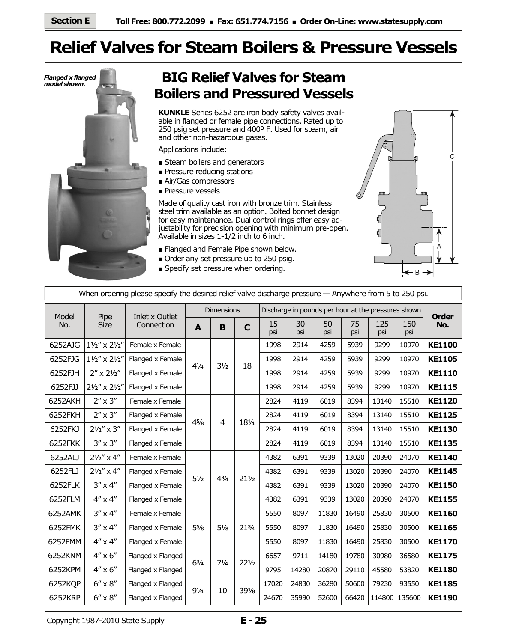# **Relief Valves for Steam Boilers & Pressure Vessels**



### **BIG Relief Valves for Steam Boilers and Pressured Vessels**

**KUNKLE** Series 6252 are iron body safety valves available in flanged or female pipe connections. Rated up to 250 psig set pressure and 400º F. Used for steam, air and other non-hazardous gases.

Applications include:

- Steam boilers and generators
- Pressure reducing stations
- Air/Gas compressors
- Pressure vessels

Made of quality cast iron with bronze trim. Stainless steel trim available as an option. Bolted bonnet design for easy maintenance. Dual control rings offer easy adjustability for precision opening with minimum pre-open. Available in sizes 1-1/2 inch to 6 inch.

- Flanged and Female Pipe shown below.
- Order any set pressure up to 250 psig.
- Specify set pressure when ordering.



| When ordering please specify the desired relief valve discharge pressure — Anywhere from 5 to 250 psi. |                       |                   |                |                   |                 |                                                     |              |           |            |            |        |               |
|--------------------------------------------------------------------------------------------------------|-----------------------|-------------------|----------------|-------------------|-----------------|-----------------------------------------------------|--------------|-----------|------------|------------|--------|---------------|
| Model                                                                                                  | Pipe                  | Inlet x Outlet    |                | <b>Dimensions</b> |                 | Discharge in pounds per hour at the pressures shown | <b>Order</b> |           |            |            |        |               |
| <b>Size</b><br>No.                                                                                     | Connection            | A                 | B              | $\mathbf C$       | 15<br>psi       | 30<br>psi                                           | 50<br>psi    | 75<br>psi | 125<br>psi | 150<br>psi | No.    |               |
| 6252AJG                                                                                                | 11/2" x 21/2"         | Female x Female   |                |                   |                 | 1998                                                | 2914         | 4259      | 5939       | 9299       | 10970  | <b>KE1100</b> |
| 6252FJG                                                                                                | 11/2" x 21/2"         | Flanged x Female  | $4\frac{1}{4}$ | $3\frac{1}{2}$    | 18              | 1998                                                | 2914         | 4259      | 5939       | 9299       | 10970  | <b>KE1105</b> |
| 6252FJH                                                                                                | $2'' \times 2''2''$   | Flanged x Female  |                |                   |                 | 1998                                                | 2914         | 4259      | 5939       | 9299       | 10970  | <b>KE1110</b> |
| 6252FJJ                                                                                                | 21/2" x 21/2"         | Flanged x Female  |                |                   |                 | 1998                                                | 2914         | 4259      | 5939       | 9299       | 10970  | <b>KE1115</b> |
| 6252AKH                                                                                                | $2'' \times 3''$      | Female x Female   |                |                   |                 | 2824                                                | 4119         | 6019      | 8394       | 13140      | 15510  | <b>KE1120</b> |
| 6252FKH                                                                                                | $2'' \times 3''$      | Flanged x Female  | 45/8           | 4                 | 181/4           | 2824                                                | 4119         | 6019      | 8394       | 13140      | 15510  | <b>KE1125</b> |
| 6252FKJ                                                                                                | $2\frac{1}{2}$ " x 3" | Flanged x Female  |                |                   |                 | 2824                                                | 4119         | 6019      | 8394       | 13140      | 15510  | <b>KE1130</b> |
| 6252FKK                                                                                                | $3'' \times 3''$      | Flanged x Female  |                |                   |                 | 2824                                                | 4119         | 6019      | 8394       | 13140      | 15510  | <b>KE1135</b> |
| 6252ALJ                                                                                                | $2\frac{1}{2}$ " x 4" | Female x Female   |                | $4^{3}/_{4}$      |                 | 4382                                                | 6391         | 9339      | 13020      | 20390      | 24070  | <b>KE1140</b> |
| 6252FLJ                                                                                                | $2\frac{1}{2}$ " x 4" | Flanged x Female  | $5\frac{1}{2}$ |                   |                 | 4382                                                | 6391         | 9339      | 13020      | 20390      | 24070  | <b>KE1145</b> |
| 6252FLK                                                                                                | $3'' \times 4''$      | Flanged x Female  |                |                   | $21\frac{1}{2}$ | 4382                                                | 6391         | 9339      | 13020      | 20390      | 24070  | <b>KE1150</b> |
| 6252FLM                                                                                                | $4'' \times 4''$      | Flanged x Female  |                |                   |                 | 4382                                                | 6391         | 9339      | 13020      | 20390      | 24070  | <b>KE1155</b> |
| 6252AMK                                                                                                | $3'' \times 4''$      | Female x Female   |                |                   | 213/4           | 5550                                                | 8097         | 11830     | 16490      | 25830      | 30500  | <b>KE1160</b> |
| 6252FMK                                                                                                | $3'' \times 4''$      | Flanged x Female  | $5\frac{5}{8}$ | $5\frac{1}{8}$    |                 | 5550                                                | 8097         | 11830     | 16490      | 25830      | 30500  | <b>KE1165</b> |
| 6252FMM                                                                                                | $4'' \times 4''$      | Flanged x Female  |                |                   |                 | 5550                                                | 8097         | 11830     | 16490      | 25830      | 30500  | <b>KE1170</b> |
| 6252KNM                                                                                                | $4'' \times 6''$      | Flanged x Flanged | $6\frac{3}{4}$ | $7\frac{1}{4}$    |                 | 6657                                                | 9711         | 14180     | 19780      | 30980      | 36580  | <b>KE1175</b> |
| 6252KPM                                                                                                | $4'' \times 6''$      | Flanged x Flanged |                |                   | $22\frac{1}{2}$ | 9795                                                | 14280        | 20870     | 29110      | 45580      | 53820  | <b>KE1180</b> |
| 6252KQP                                                                                                | $6'' \times 8''$      | Flanged x Flanged | $9\frac{1}{4}$ |                   |                 | 17020                                               | 24830        | 36280     | 50600      | 79230      | 93550  | <b>KE1185</b> |
| 6252KRP                                                                                                | $6'' \times 8''$      | Flanged x Flanged |                | 10                | $39\frac{1}{8}$ | 24670                                               | 35990        | 52600     | 66420      | 114800     | 135600 | <b>KE1190</b> |

Copyright 1987-2010 State Supply